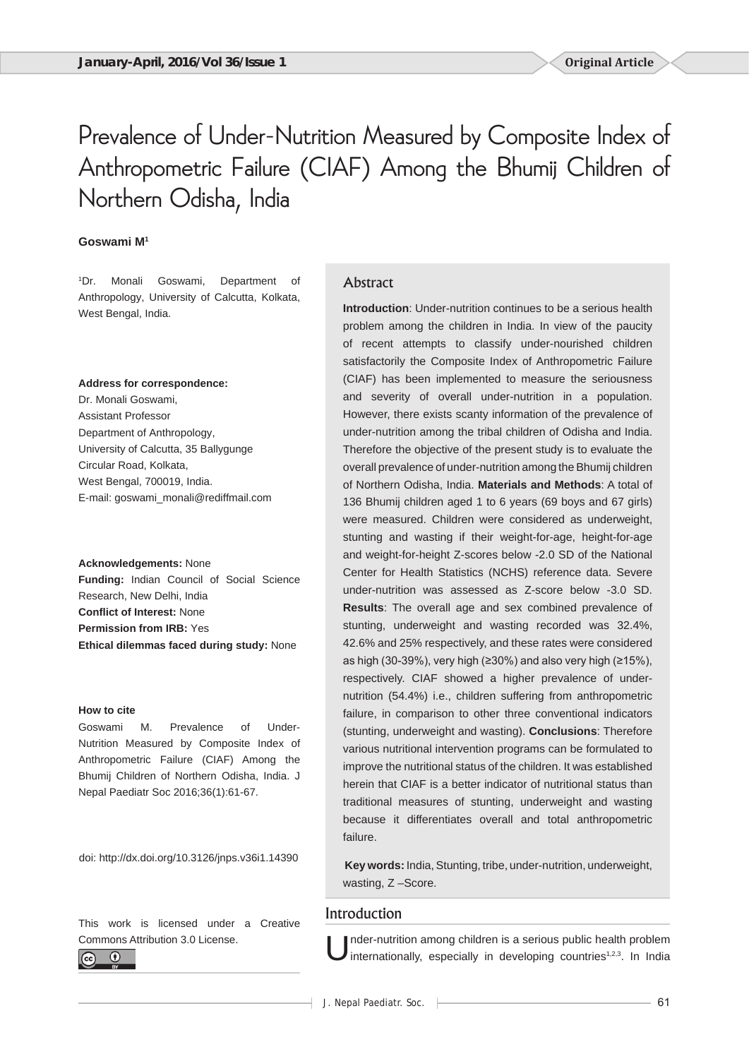# Prevalence of Under-Nutrition Measured by Composite Index of Anthropometric Failure (CIAF) Among the Bhumij Children of Northern Odisha, India

# **Goswami M1**

1 Dr. Monali Goswami, Department of Anthropology, University of Calcutta, Kolkata, West Bengal, India.

#### **Address for correspondence:**

Dr. Monali Goswami, Assistant Professor Department of Anthropology, University of Calcutta, 35 Ballygunge Circular Road, Kolkata, West Bengal, 700019, India. E-mail: goswami\_monali@rediffmail.com

**Acknowledgements:** None **Funding:** Indian Council of Social Science Research, New Delhi, India **Conflict of Interest:** None **Permission from IRB:** Yes **Ethical dilemmas faced during study:** None

#### **How to cite**

Goswami M. Prevalence of Under-Nutrition Measured by Composite Index of Anthropometric Failure (CIAF) Among the Bhumij Children of Northern Odisha, India. J Nepal Paediatr Soc 2016;36(1):61-67.

doi: http://dx.doi.org/10.3126/jnps.v36i1.14390

This work is licensed under a Creative Commons Attribution 3.0 License.



# Abstract

**Introduction**: Under-nutrition continues to be a serious health problem among the children in India. In view of the paucity of recent attempts to classify under-nourished children satisfactorily the Composite Index of Anthropometric Failure (CIAF) has been implemented to measure the seriousness and severity of overall under-nutrition in a population. However, there exists scanty information of the prevalence of under-nutrition among the tribal children of Odisha and India. Therefore the objective of the present study is to evaluate the overall prevalence of under-nutrition among the Bhumij children of Northern Odisha, India. **Materials and Methods**: A total of 136 Bhumij children aged 1 to 6 years (69 boys and 67 girls) were measured. Children were considered as underweight, stunting and wasting if their weight-for-age, height-for-age and weight-for-height Z-scores below -2.0 SD of the National Center for Health Statistics (NCHS) reference data. Severe under-nutrition was assessed as Z-score below -3.0 SD. **Results**: The overall age and sex combined prevalence of stunting, underweight and wasting recorded was 32.4%, 42.6% and 25% respectively, and these rates were considered as high (30-39%), very high (≥30%) and also very high (≥15%), respectively. CIAF showed a higher prevalence of undernutrition (54.4%) i.e., children suffering from anthropometric failure, in comparison to other three conventional indicators (stunting, underweight and wasting). **Conclusions**: Therefore various nutritional intervention programs can be formulated to improve the nutritional status of the children. It was established herein that CIAF is a better indicator of nutritional status than traditional measures of stunting, underweight and wasting because it differentiates overall and total anthropometric failure.

**Key words:** India, Stunting, tribe, under-nutrition, underweight, wasting, Z –Score.

# Introduction

Inder-nutrition among children is a serious public health problem<br>internationally, especially in developing countries<sup>1,2,3</sup>. In India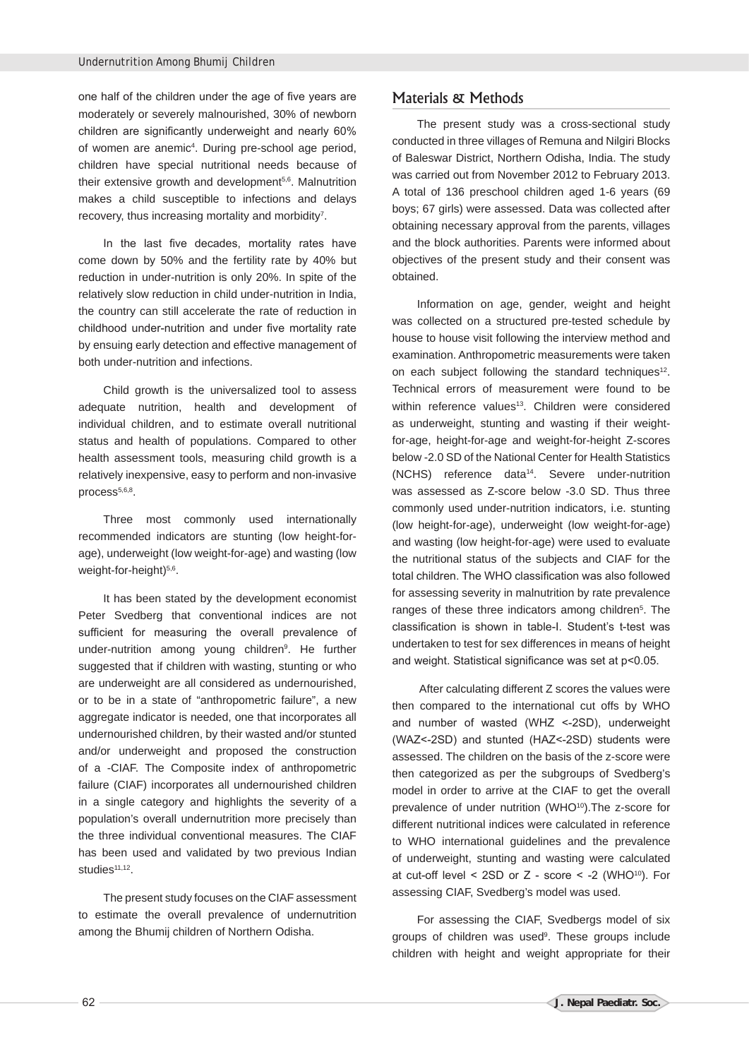one half of the children under the age of five years are moderately or severely malnourished, 30% of newborn children are significantly underweight and nearly 60% of women are anemic<sup>4</sup>. During pre-school age period, children have special nutritional needs because of their extensive growth and development<sup>5,6</sup>. Malnutrition makes a child susceptible to infections and delays recovery, thus increasing mortality and morbidity<sup>7</sup>.

In the last five decades, mortality rates have come down by 50% and the fertility rate by 40% but reduction in under-nutrition is only 20%. In spite of the relatively slow reduction in child under-nutrition in India, the country can still accelerate the rate of reduction in childhood under-nutrition and under five mortality rate by ensuing early detection and effective management of both under-nutrition and infections.

Child growth is the universalized tool to assess adequate nutrition, health and development of individual children, and to estimate overall nutritional status and health of populations. Compared to other health assessment tools, measuring child growth is a relatively inexpensive, easy to perform and non-invasive process<sup>5,6,8</sup>.

Three most commonly used internationally recommended indicators are stunting (low height-forage), underweight (low weight-for-age) and wasting (low weight-for-height)<sup>5,6</sup>.

It has been stated by the development economist Peter Svedberg that conventional indices are not sufficient for measuring the overall prevalence of under-nutrition among young children<sup>9</sup>. He further suggested that if children with wasting, stunting or who are underweight are all considered as undernourished, or to be in a state of "anthropometric failure", a new aggregate indicator is needed, one that incorporates all undernourished children, by their wasted and/or stunted and/or underweight and proposed the construction of a -CIAF. The Composite index of anthropometric failure (CIAF) incorporates all undernourished children in a single category and highlights the severity of a population's overall undernutrition more precisely than the three individual conventional measures. The CIAF has been used and validated by two previous Indian studies $11,12$ .

The present study focuses on the CIAF assessment to estimate the overall prevalence of undernutrition among the Bhumij children of Northern Odisha.

# Materials & Methods

The present study was a cross-sectional study conducted in three villages of Remuna and Nilgiri Blocks of Baleswar District, Northern Odisha, India. The study was carried out from November 2012 to February 2013. A total of 136 preschool children aged 1-6 years (69 boys; 67 girls) were assessed. Data was collected after obtaining necessary approval from the parents, villages and the block authorities. Parents were informed about objectives of the present study and their consent was obtained.

Information on age, gender, weight and height was collected on a structured pre-tested schedule by house to house visit following the interview method and examination. Anthropometric measurements were taken on each subject following the standard techniques<sup>12</sup>. Technical errors of measurement were found to be within reference values<sup>13</sup>. Children were considered as underweight, stunting and wasting if their weightfor-age, height-for-age and weight-for-height Z-scores below -2.0 SD of the National Center for Health Statistics (NCHS) reference data14. Severe under-nutrition was assessed as Z-score below -3.0 SD. Thus three commonly used under-nutrition indicators, i.e. stunting (low height-for-age), underweight (low weight-for-age) and wasting (low height-for-age) were used to evaluate the nutritional status of the subjects and CIAF for the total children. The WHO classification was also followed for assessing severity in malnutrition by rate prevalence ranges of these three indicators among children<sup>5</sup>. The classification is shown in table-I. Student's t-test was undertaken to test for sex differences in means of height and weight. Statistical significance was set at p<0.05.

 After calculating different Z scores the values were then compared to the international cut offs by WHO and number of wasted (WHZ <-2SD), underweight (WAZ<-2SD) and stunted (HAZ<-2SD) students were assessed. The children on the basis of the z-score were then categorized as per the subgroups of Svedberg's model in order to arrive at the CIAF to get the overall prevalence of under nutrition (WHO<sup>10</sup>). The z-score for different nutritional indices were calculated in reference to WHO international guidelines and the prevalence of underweight, stunting and wasting were calculated at cut-off level  $\leq$  2SD or Z - score  $\leq$  -2 (WHO<sup>10</sup>). For assessing CIAF, Svedberg's model was used.

For assessing the CIAF, Svedbergs model of six groups of children was used<sup>9</sup>. These groups include children with height and weight appropriate for their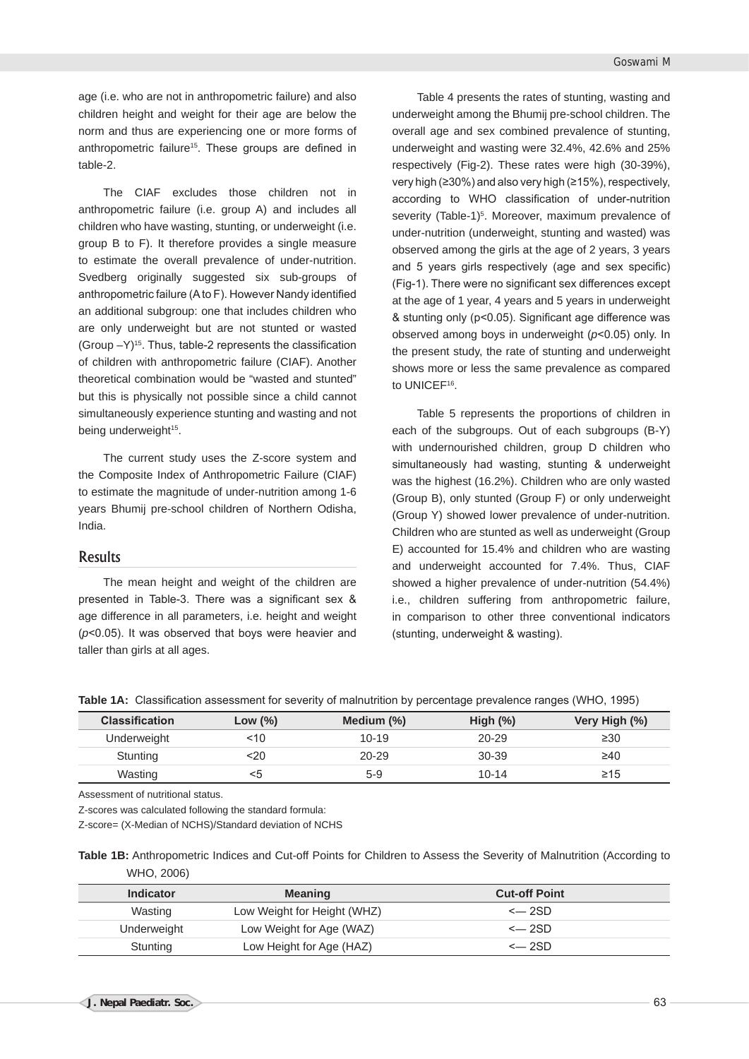age (i.e. who are not in anthropometric failure) and also children height and weight for their age are below the norm and thus are experiencing one or more forms of anthropometric failure<sup>15</sup>. These groups are defined in table-2.

The CIAF excludes those children not in anthropometric failure (i.e. group A) and includes all children who have wasting, stunting, or underweight (i.e. group B to F). It therefore provides a single measure to estimate the overall prevalence of under-nutrition. Svedberg originally suggested six sub-groups of anthropometric failure (A to F). However Nandy identified an additional subgroup: one that includes children who are only underweight but are not stunted or wasted (Group  $-Y$ )<sup>15</sup>. Thus, table-2 represents the classification of children with anthropometric failure (CIAF). Another theoretical combination would be "wasted and stunted" but this is physically not possible since a child cannot simultaneously experience stunting and wasting and not being underweight<sup>15</sup>.

The current study uses the Z-score system and the Composite Index of Anthropometric Failure (CIAF) to estimate the magnitude of under-nutrition among 1-6 years Bhumij pre-school children of Northern Odisha, India.

#### Results

The mean height and weight of the children are presented in Table-3. There was a significant sex & age difference in all parameters, i.e. height and weight (*p*<0.05). It was observed that boys were heavier and taller than girls at all ages.

Table 4 presents the rates of stunting, wasting and underweight among the Bhumij pre-school children. The overall age and sex combined prevalence of stunting, underweight and wasting were 32.4%, 42.6% and 25% respectively (Fig-2). These rates were high (30-39%), very high (≥30%) and also very high (≥15%), respectively, according to WHO classification of under-nutrition severity (Table-1)<sup>5</sup>. Moreover, maximum prevalence of under-nutrition (underweight, stunting and wasted) was observed among the girls at the age of 2 years, 3 years and 5 years girls respectively (age and sex specific) (Fig-1). There were no significant sex differences except at the age of 1 year, 4 years and 5 years in underweight & stunting only (p<0.05). Significant age difference was observed among boys in underweight (*p*<0.05) only. In the present study, the rate of stunting and underweight shows more or less the same prevalence as compared to UNICEF<sup>16</sup>.

Table 5 represents the proportions of children in each of the subgroups. Out of each subgroups (B-Y) with undernourished children, group D children who simultaneously had wasting, stunting & underweight was the highest (16.2%). Children who are only wasted (Group B), only stunted (Group F) or only underweight (Group Y) showed lower prevalence of under-nutrition. Children who are stunted as well as underweight (Group E) accounted for 15.4% and children who are wasting and underweight accounted for 7.4%. Thus, CIAF showed a higher prevalence of under-nutrition (54.4%) i.e., children suffering from anthropometric failure, in comparison to other three conventional indicators (stunting, underweight & wasting).

**Table 1A:** Classification assessment for severity of malnutrition by percentage prevalence ranges (WHO, 1995)

| <b>Classification</b> | Low (%) | Medium $(\%)$ | High $(\%)$ | Very High (%) |
|-----------------------|---------|---------------|-------------|---------------|
| Underweight           | <10     | $10 - 19$     | $20 - 29$   | $\geq 30$     |
| Stunting              | <20     | $20 - 29$     | 30-39       | $\geq 40$     |
| Wasting               | <5      | $5-9$         | $10 - 14$   | ≥15           |

Assessment of nutritional status.

Z-scores was calculated following the standard formula:

Z-score= (X-Median of NCHS)/Standard deviation of NCHS

**Table 1B:** Anthropometric Indices and Cut-off Points for Children to Assess the Severity of Malnutrition (According to WHO, 2006)

| Indicator   | <b>Meaning</b>              | <b>Cut-off Point</b> |  |
|-------------|-----------------------------|----------------------|--|
| Wasting     | Low Weight for Height (WHZ) | $\leftarrow$ 2SD     |  |
| Underweight | Low Weight for Age (WAZ)    | $\leftarrow$ 2SD     |  |
| Stunting    | Low Height for Age (HAZ)    | $\leftarrow$ 2SD     |  |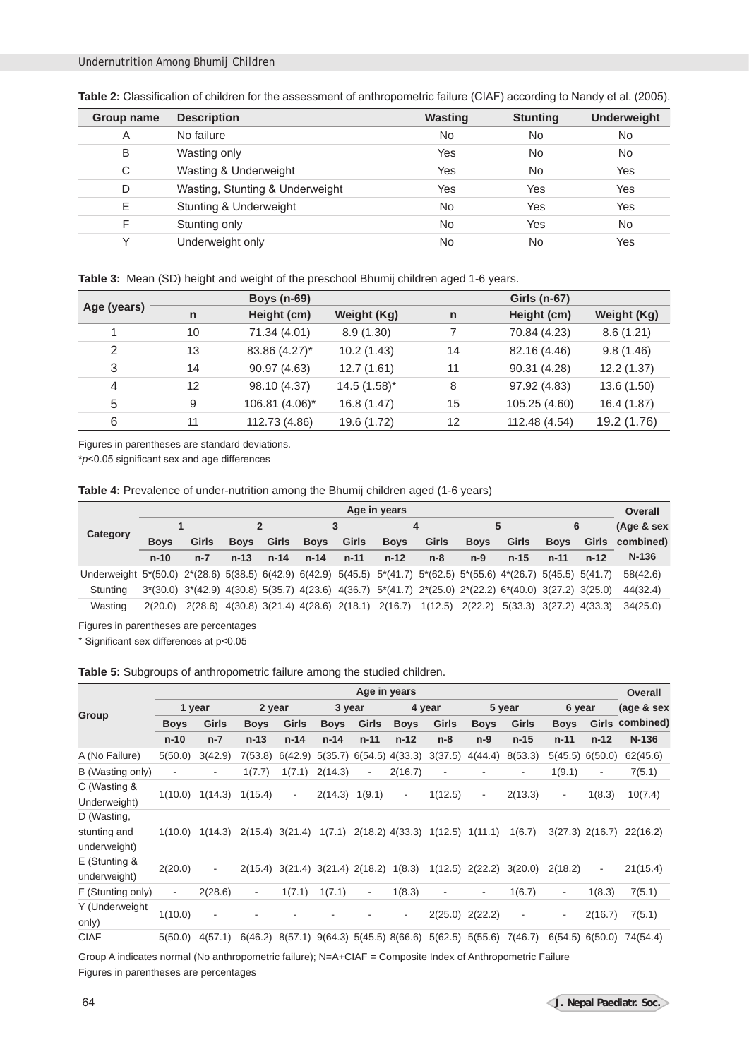| Group name | <b>Description</b>              | <b>Wasting</b> | <b>Stunting</b> | <b>Underweight</b> |
|------------|---------------------------------|----------------|-----------------|--------------------|
| A          | No failure                      | <b>No</b>      | <b>No</b>       | <b>No</b>          |
| B          | Wasting only                    | Yes            | <b>No</b>       | <b>No</b>          |
| C          | Wasting & Underweight           | Yes            | <b>No</b>       | Yes                |
| D          | Wasting, Stunting & Underweight | Yes            | Yes             | Yes                |
| Ε          | Stunting & Underweight          | No             | Yes             | Yes                |
| F          | Stunting only                   | <b>No</b>      | Yes             | <b>No</b>          |
| v          | Underweight only                | No             | <b>No</b>       | Yes                |

**Table 2:** Classification of children for the assessment of anthropometric failure (CIAF) according to Nandy et al. (2005).

**Table 3:** Mean (SD) height and weight of the preschool Bhumij children aged 1-6 years.

|             |              | <b>Boys (n-69)</b> |                  |              | Girls (n-67)  |                    |
|-------------|--------------|--------------------|------------------|--------------|---------------|--------------------|
| Age (years) | $\mathsf{n}$ | Height (cm)        | Weight (Kg)      | $\mathsf{n}$ | Height (cm)   | <b>Weight (Kg)</b> |
|             | 10           | 71.34 (4.01)       | 8.9(1.30)        |              | 70.84 (4.23)  | 8.6(1.21)          |
| 2           | 13           | 83.86 (4.27)*      | 10.2(1.43)       | 14           | 82.16 (4.46)  | 9.8(1.46)          |
| 3           | 14           | 90.97 (4.63)       | 12.7(1.61)       | 11           | 90.31 (4.28)  | 12.2(1.37)         |
| 4           | 12           | 98.10 (4.37)       | $14.5(1.58)^{*}$ | 8            | 97.92 (4.83)  | 13.6 (1.50)        |
| 5           | 9            | 106.81 (4.06)*     | 16.8 (1.47)      | 15           | 105.25 (4.60) | 16.4 (1.87)        |
| 6           | 11           | 112.73 (4.86)      | 19.6 (1.72)      | 12           | 112.48 (4.54) | 19.2 (1.76)        |

Figures in parentheses are standard deviations.

\**p*<0.05 significant sex and age differences

**Table 4:** Prevalence of under-nutrition among the Bhumij children aged (1-6 years)

|                                                                                                                   | Age in years |              |             |          |             |          |                                                                                                                               |       |             |                         |             | Overall  |            |
|-------------------------------------------------------------------------------------------------------------------|--------------|--------------|-------------|----------|-------------|----------|-------------------------------------------------------------------------------------------------------------------------------|-------|-------------|-------------------------|-------------|----------|------------|
|                                                                                                                   |              |              |             |          |             | 3        |                                                                                                                               | 4     |             | 5                       |             | 6        | (Age & sex |
| Category                                                                                                          | <b>Boys</b>  | <b>Girls</b> | <b>Boys</b> | Girls    | <b>Boys</b> | Girls    | <b>Boys</b>                                                                                                                   | Girls | <b>Boys</b> | Girls                   | <b>Boys</b> | Girls    | combined)  |
|                                                                                                                   | $n-10$       | $n-7$        | $n-13$      | $n - 14$ | $n - 14$    | $n - 11$ | $n-12$                                                                                                                        | $n-8$ | $n-9$       | $n-15$                  | $n - 11$    | $n - 12$ | $N-136$    |
| Underweight 5*(50.0) 2*(28.6) 5(38.5) 6(42.9) 6(42.9) 5(45.5) 5*(41.7) 5*(62.5) 5*(55.6) 4*(26.7) 5(45.5) 5(41.7) |              |              |             |          |             |          |                                                                                                                               |       |             |                         |             |          | 58(42.6)   |
| Stunting                                                                                                          |              |              |             |          |             |          | $3*(30.0)$ $3*(42.9)$ $4(30.8)$ $5(35.7)$ $4(23.6)$ $4(36.7)$ $5*(41.7)$ $2*(25.0)$ $2*(22.2)$ $6*(40.0)$ $3(27.2)$ $3(25.0)$ |       |             |                         |             |          | 44(32.4)   |
| Wasting                                                                                                           | 2(20.0)      |              |             |          |             |          | 2(28.6) 4(30.8) 3(21.4) 4(28.6) 2(18.1) 2(16.7) 1(12.5) 2(22.2)                                                               |       |             | 5(33.3) 3(27.2) 4(33.3) |             |          | 34(25.0)   |

Figures in parentheses are percentages

\* Significant sex differences at p<0.05

**Table 5:** Subgroups of anthropometric failure among the studied children.

|                                             |             |                          |             |                                        |                  | Age in years             |                                 |                         |                          |                               |                          |                          | Overall         |
|---------------------------------------------|-------------|--------------------------|-------------|----------------------------------------|------------------|--------------------------|---------------------------------|-------------------------|--------------------------|-------------------------------|--------------------------|--------------------------|-----------------|
|                                             | 1 year      |                          | 2 year      |                                        | 3 year           |                          |                                 | 4 year                  |                          | 5 year                        | 6 year                   |                          | (age & sex      |
| Group                                       | <b>Boys</b> | Girls                    | <b>Boys</b> | Girls                                  | <b>Boys</b>      | Girls                    | <b>Boys</b>                     | Girls                   | <b>Boys</b>              | Girls                         | <b>Boys</b>              |                          | Girls combined) |
|                                             | $n-10$      | $n-7$                    | $n-13$      | $n - 14$                               | $n - 14$         | $n - 11$                 | $n-12$                          | $n-8$                   | $n-9$                    | $n-15$                        | $n-11$                   | $n-12$                   | $N-136$         |
| A (No Failure)                              | 5(50.0)     | 3(42.9)                  | 7(53.8)     | 6(42.9)                                | 5(35.7)          | 6(54.5)                  | 4(33.3)                         | 3(37.5)                 | 4(44.4)                  | 8(53.3)                       | 5(45.5)                  | 6(50.0)                  | 62(45.6)        |
| B (Wasting only)                            | ٠           |                          | 1(7.7)      | 1(7.1)                                 | 2(14.3)          | $\overline{\phantom{a}}$ | 2(16.7)                         |                         |                          | $\overline{\phantom{a}}$      | 1(9.1)                   | ۰                        | 7(5.1)          |
| C (Wasting &<br>Underweight)                | 1(10.0)     | 1(14.3)                  | 1(15.4)     | ۰                                      | $2(14.3)$ 1(9.1) |                          | $\overline{\phantom{a}}$        | 1(12.5)                 | $\overline{\phantom{a}}$ | 2(13.3)                       | $\overline{\phantom{a}}$ | 1(8.3)                   | 10(7.4)         |
| D (Wasting,<br>stunting and<br>underweight) | 1(10.0)     | 1(14.3)                  |             | $2(15.4)$ 3(21.4)                      | 1(7.1)           |                          |                                 | 2(18.2) 4(33.3) 1(12.5) | 1(11.1)                  | 1(6.7)                        |                          | $3(27.3)$ 2(16.7)        | 22(16.2)        |
| $E$ (Stunting &<br>underweight)             | 2(20.0)     | $\overline{\phantom{a}}$ |             | 2(15.4) 3(21.4) 3(21.4) 2(18.2) 1(8.3) |                  |                          |                                 |                         |                          | $1(12.5)$ $2(22.2)$ $3(20.0)$ | 2(18.2)                  | $\overline{\phantom{a}}$ | 21(15.4)        |
| F (Stunting only)                           | ٠           | 2(28.6)                  | -           | 1(7.1)                                 | 1(7.1)           | $\overline{\phantom{a}}$ | 1(8.3)                          |                         | ٠                        | 1(6.7)                        | ٠                        | 1(8.3)                   | 7(5.1)          |
| Y (Underweight<br>only)                     | 1(10.0)     | $\overline{\phantom{a}}$ |             |                                        |                  |                          |                                 | 2(25.0)                 | 2(22.2)                  | -                             | ٠                        | 2(16.7)                  | 7(5.1)          |
| <b>CIAF</b>                                 | 5(50.0)     | 4(57.1)                  | 6(46.2)     |                                        |                  |                          | 8(57.1) 9(64.3) 5(45.5) 8(66.6) | 5(62.5)                 | 5(55.6)                  | 7(46.7)                       | 6(54.5)                  | 6(50.0)                  | 74(54.4)        |

Group A indicates normal (No anthropometric failure); N=A+CIAF = Composite Index of Anthropometric Failure Figures in parentheses are percentages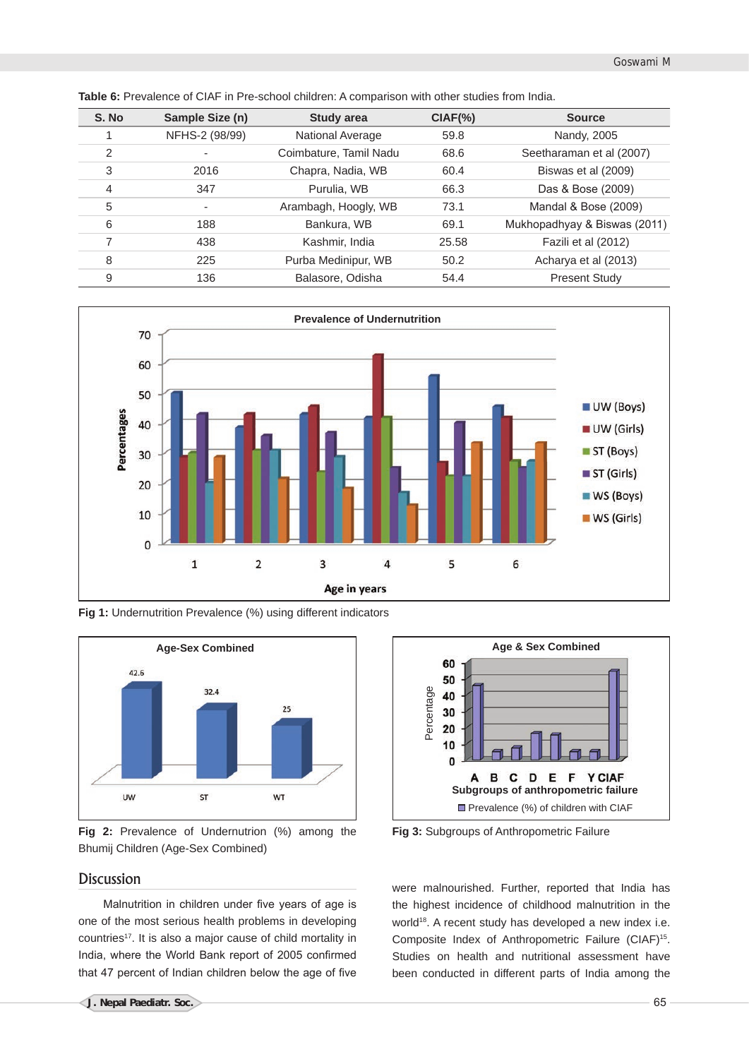| S. No | Sample Size (n) | <b>Study area</b>       | $CIAF(\% )$ | <b>Source</b>                |
|-------|-----------------|-------------------------|-------------|------------------------------|
|       | NFHS-2 (98/99)  | <b>National Average</b> | 59.8        | Nandy, 2005                  |
| 2     |                 | Coimbature, Tamil Nadu  | 68.6        | Seetharaman et al (2007)     |
| 3     | 2016            | Chapra, Nadia, WB       | 60.4        | Biswas et al (2009)          |
| 4     | 347             | Purulia, WB             | 66.3        | Das & Bose (2009)            |
| 5     | ٠               | Arambagh, Hoogly, WB    | 73.1        | Mandal & Bose (2009)         |
| 6     | 188             | Bankura, WB             | 69.1        | Mukhopadhyay & Biswas (2011) |
| 7     | 438             | Kashmir, India          | 25.58       | Fazili et al (2012)          |
| 8     | 225             | Purba Medinipur, WB     | 50.2        | Acharya et al (2013)         |
| 9     | 136             | Balasore, Odisha        | 54.4        | <b>Present Study</b>         |

**Table 6:** Prevalence of CIAF in Pre-school children: A comparison with other studies from India.



**Fig 1:** Undernutrition Prevalence (%) using different indicators





# Discussion

Malnutrition in children under five years of age is one of the most serious health problems in developing countries<sup>17</sup>. It is also a major cause of child mortality in India, where the World Bank report of 2005 confirmed that 47 percent of Indian children below the age of five



**Fig 3:** Subgroups of Anthropometric Failure

were malnourished. Further, reported that India has the highest incidence of childhood malnutrition in the world<sup>18</sup>. A recent study has developed a new index i.e. Composite Index of Anthropometric Failure (CIAF)<sup>15</sup>. Studies on health and nutritional assessment have been conducted in different parts of India among the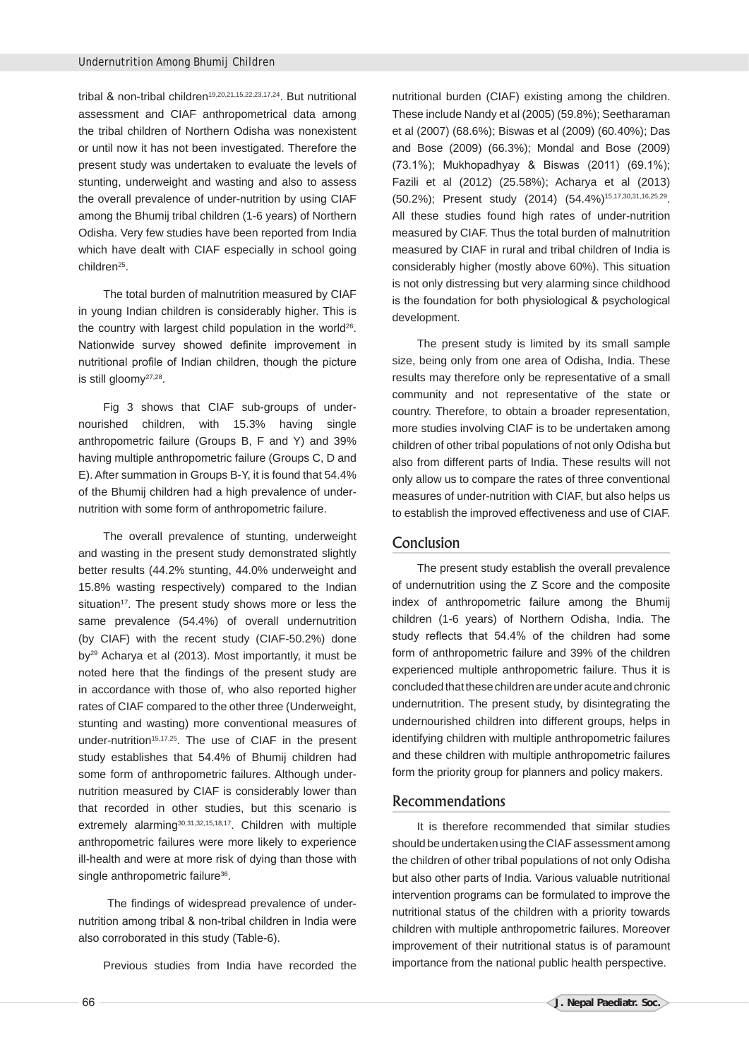tribal & non-tribal children<sup>19,20,21,15,22,23,17,24</sup>. But nutritional assessment and CIAF anthropometrical data among the tribal children of Northern Odisha was nonexistent or until now it has not been investigated. Therefore the present study was undertaken to evaluate the levels of stunting, underweight and wasting and also to assess the overall prevalence of under-nutrition by using CIAF among the Bhumij tribal children (1-6 years) of Northern Odisha. Very few studies have been reported from India which have dealt with CIAF especially in school going children<sup>25</sup>.

The total burden of malnutrition measured by CIAF in young Indian children is considerably higher. This is the country with largest child population in the world<sup>26</sup>. Nationwide survey showed definite improvement in nutritional profile of Indian children, though the picture is still gloomy<sup>27,28</sup>.

Fig 3 shows that CIAF sub-groups of undernourished children, with 15.3% having single anthropometric failure (Groups B, F and Y) and 39% having multiple anthropometric failure (Groups C, D and E). After summation in Groups B-Y, it is found that 54.4% of the Bhumij children had a high prevalence of undernutrition with some form of anthropometric failure.

The overall prevalence of stunting, underweight and wasting in the present study demonstrated slightly better results (44.2% stunting, 44.0% underweight and 15.8% wasting respectively) compared to the Indian situation<sup>17</sup>. The present study shows more or less the same prevalence (54.4%) of overall undernutrition (by CIAF) with the recent study (CIAF-50.2%) done by29 Acharya et al (2013). Most importantly, it must be noted here that the findings of the present study are in accordance with those of, who also reported higher rates of CIAF compared to the other three (Underweight, stunting and wasting) more conventional measures of under-nutrition<sup>15,17,25</sup>. The use of CIAF in the present study establishes that 54.4% of Bhumij children had some form of anthropometric failures. Although undernutrition measured by CIAF is considerably lower than that recorded in other studies, but this scenario is extremely alarming<sup>30,31,32,15,18,17</sup>. Children with multiple anthropometric failures were more likely to experience ill-health and were at more risk of dying than those with single anthropometric failure<sup>36</sup>.

 The findings of widespread prevalence of undernutrition among tribal & non-tribal children in India were also corroborated in this study (Table-6).

Previous studies from India have recorded the

nutritional burden (CIAF) existing among the children. These include Nandy et al (2005) (59.8%); Seetharaman et al (2007) (68.6%); Biswas et al (2009) (60.40%); Das and Bose (2009) (66.3%); Mondal and Bose (2009) (73.1%); Mukhopadhyay & Biswas (2011) (69.1%); Fazili et al (2012) (25.58%); Acharya et al (2013) (50.2%); Present study (2014) (54.4%)15,17,30,31,16,25,29. All these studies found high rates of under-nutrition measured by CIAF. Thus the total burden of malnutrition measured by CIAF in rural and tribal children of India is considerably higher (mostly above 60%). This situation is not only distressing but very alarming since childhood is the foundation for both physiological & psychological development.

The present study is limited by its small sample size, being only from one area of Odisha, India. These results may therefore only be representative of a small community and not representative of the state or country. Therefore, to obtain a broader representation, more studies involving CIAF is to be undertaken among children of other tribal populations of not only Odisha but also from different parts of India. These results will not only allow us to compare the rates of three conventional measures of under-nutrition with CIAF, but also helps us to establish the improved effectiveness and use of CIAF.

# Conclusion

The present study establish the overall prevalence of undernutrition using the Z Score and the composite index of anthropometric failure among the Bhumij children (1-6 years) of Northern Odisha, India. The study reflects that 54.4% of the children had some form of anthropometric failure and 39% of the children experienced multiple anthropometric failure. Thus it is concluded that these children are under acute and chronic undernutrition. The present study, by disintegrating the undernourished children into different groups, helps in identifying children with multiple anthropometric failures and these children with multiple anthropometric failures form the priority group for planners and policy makers.

### Recommendations

It is therefore recommended that similar studies should be undertaken using the CIAF assessment among the children of other tribal populations of not only Odisha but also other parts of India. Various valuable nutritional intervention programs can be formulated to improve the nutritional status of the children with a priority towards children with multiple anthropometric failures. Moreover improvement of their nutritional status is of paramount importance from the national public health perspective.